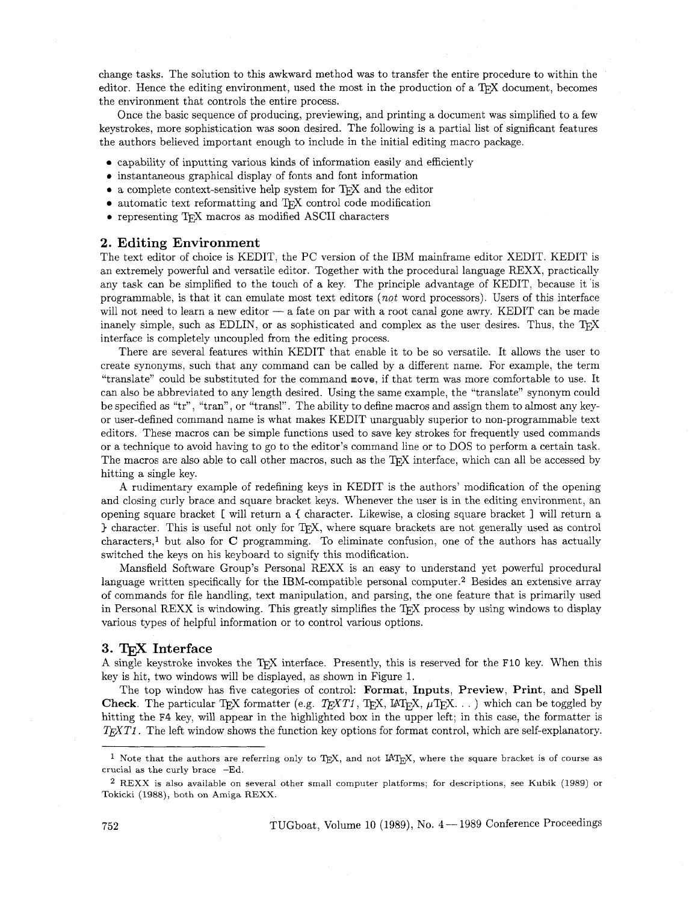change tasks. The solution to this awkward method was to transfer the entire procedure to within the editor. Hence the editing environment, used the most in the production of a  $T_{\text{FX}}$  document, becomes the environment that controls the entire process.

Once the basic sequence of producing, previewing, and printing a document was simplified to a few keystrokes, more sophistication was soon desired. The following is a partial list of significant features the authors believed important enough to include in the initial editing macro package.

- capability of inputting various kinds of information easily and efficiently
- **0** instantaneous graphical display of fonts and font information
- $\bullet$  a complete context-sensitive help system for T<sub>F</sub>X and the editor
- $\bullet$  automatic text reformatting and T<sub>F</sub>X control code modification
- $\bullet$  representing T<sub>F</sub>X macros as modified ASCII characters

# 2. Editing Environment

The text editor of choice is KEDIT, the PC version of the IBM mainframe editor XEDIT. KEDIT is an extremely powerful and versatile editor. Together with the procedural language REXX, practically any task can be simplified to the touch of a key. The principle advantage of KEDIT, because it is programmable, is that it can emulate most text editors (not word processors). Users of this interface any task can be simplified to the touch of a key. The principle advantage of KEDIT, because it is<br>programmable, is that it can emulate most text editors (*not* word processors). Users of this interface<br>will not need to le inanely simple, such as EDLIN, or as sophisticated and complex as the user desires. Thus, the T<sub>E</sub>X interface is completely uncoupled from the editing process.

There are several features within KEDIT that enable it to be so versatile. It allows the user to create synonyms, such that any command can be called by a different name. For example, the term "translate" could be substituted for the command move, if that term was more comfortable to use. It can also be abbreviated to any length desired. Using the same example, the "translate" synonym could be specified as "tr", "tran", or "transl". The ability to define macros and assign them to almost any keyor user-defined command name is what makes KEDIT unarguably superior to non-programmable text editors. These macros can be simple functions used to save key strokes for frequently used commands or a technique to avoid having to go to the editor's command line or to DOS to perform a certain task. The macros are also able to call other macros, such as the TFX interface, which can all be accessed by hitting a single key.

A rudimentary example of redefining keys in KEDIT is the authors' modification of the opening and closing curly brace and square bracket keys. Whenever the user is in the editing environment, an opening square bracket [ will return a **C** character. Likewise, a closing square bracket I will return a ) character. This is useful not only for m, where square brackets are not generally used as control characters,l but also for *C* programming. To eliminate confusion, one of the authors has actually switched the keys on his keyboard to signify this modification.

Mansfield Software Group's Personal REXX is an easy to understand yet powerful procedural language written specifically for the IBM-compatible personal computer.<sup>2</sup> Besides an extensive array of commands for file handling, text manipulation, and parsing, the one feature that is primarily used in Personal REXX is windowing. This greatly simplifies the T<sub>F</sub>X process by using windows to display various types of helpful information or to control various options.

### 3. Interface

A single keystroke invokes the T<sub>E</sub>X interface. Presently, this is reserved for the F10 key. When this key is hit, two windows will be displayed, as shown in Figure 1.

The top window has five categories of control: Format, Inputs, Preview, Print, and Spell **Check.** The particular TFX formatter (e.g.  $T_FXTI$ , TFX,  $\mu$ TFX, ...) which can be toggled by hitting the F4 key, will appear in the highlighted box in the upper left; in this case, the formatter is  $T_FXT1$ . The left window shows the function key options for format control, which are self-explanatory.

<sup>&</sup>lt;sup>1</sup> Note that the authors are referring only to T<sub>E</sub>X, and not  $IAT$ <sub>E</sub>X, where the square bracket is of course as crucial as the curly brace -Ed.

REXX is also available on several other small computer platforms; for descriptions, see Kubik (1989) or Tokicki (1988), both on Amiga REXX.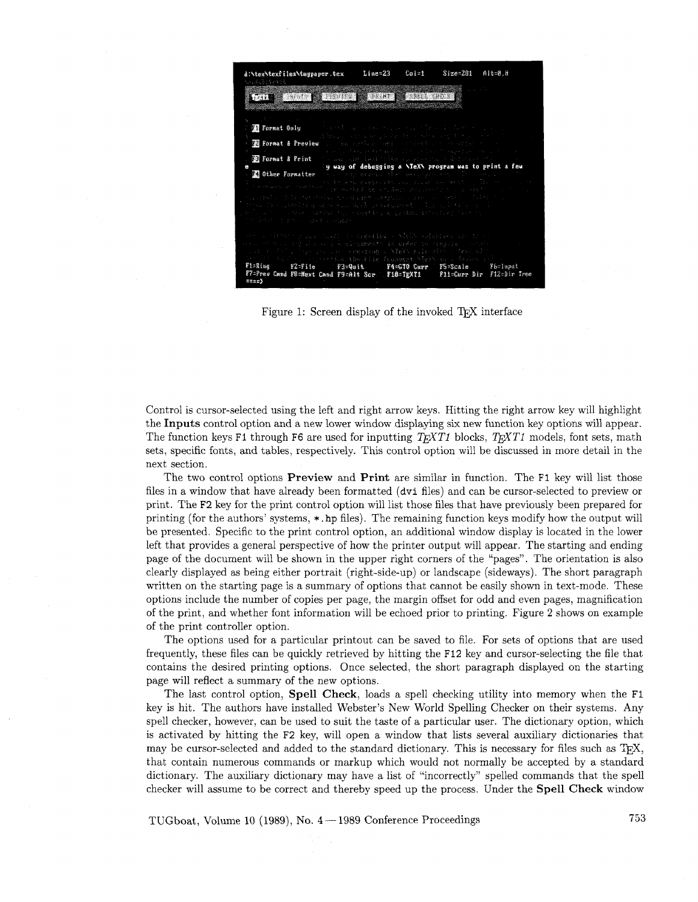Line=23 d:\tex\texfiles\tugpaper.tex  $Ca1:1$  $$1z$ e = 281  $A1t = 8.8$ **STEAT**  $\cdots$ **SPAIL CHECK** 图 Format Only **E** Format & Preview Format & Print way of debugging a \TeX\ program was to print a few **Z** Other Formatter FZ=File F1=Ring F3=Quit F4=GT0 CHP1 F5=Scale F6=lnpat  $F12=Dir$ Fiß=TrXT1 P11=Curr Đir F9=Alt Scr

Figure 1: Screen display of the invoked  $Tr X$  interface

Control is cursor-selected using the left and right arrow keys. Hitting the right arrow key will highlight the **Inputs** control option and a new lower window displaying six new function key options will appear. The function keys F1 through F6 are used for inputting  $T_FXT1$  blocks,  $T_FXT1$  models, font sets, math sets, specific fonts, and tables, respectively. This control option will be discussed in more detail in the next section.

The two control options **Preview** and **Print** are similar in function. The F1 key will list those files in a window that have already been formatted (dvi files) and can be cursor-selected to preview or print. The F2 key for the print control option will list those files that have previously been prepared for printing (for the authors' systems, \* . hp files). The remaining function keys modify how the output will be presented. Specific to the print control option, an additional window display is located in the lower left that provides a general perspective of how the printer output will appear. The starting and ending page of the document will be shown in the upper right corners of the "pages". The orientation is also clearly displayed as being either portrait (right-side-up) or landscape (sideways). The short paragraph written on the starting page is a summary of options that cannot be easily shown in text-mode. These options include the number of copies per page, the margin offset for odd and even pages, magnification of the print, and whether font information will be echoed prior to printing. Figure 2 shows on example of the print controller option.

The options used for a particular printout can be saved to file. For sets of options that are used frequently, these files can be quickly retrieved by hitting the F12 key and cursor-selecting the file that contains the desired printing options. Once selected, the short paragraph displayed on the starting page will reflect a summary of the new options.

The last control option, Spell Check, loads a spell checking utility into memory when the F1 key is hit. The authors have installed Webster's New World Spelling Checker on their systems. Any spell checker, however, can be used to suit the taste of a particular user. The dictionary option, which is activated by hitting the F2 key, will open a window that lists several auxiliary dictionaries that may be cursor-s is activated by hitting the F2 key, will open a window that lists several auxiliary dictionaries that that contain numerous commands or markup which would not normally be accepted by a standard dictionary. The auxiliary dictionary may have a list of "incorrectly" spelled commands that the spell checker will assume to be correct and thereby speed up the process. Under the Spell Check window

TUGboat, Volume 10 (1989), No. 4 - 1989 Conference Proceedings **<sup>753</sup>**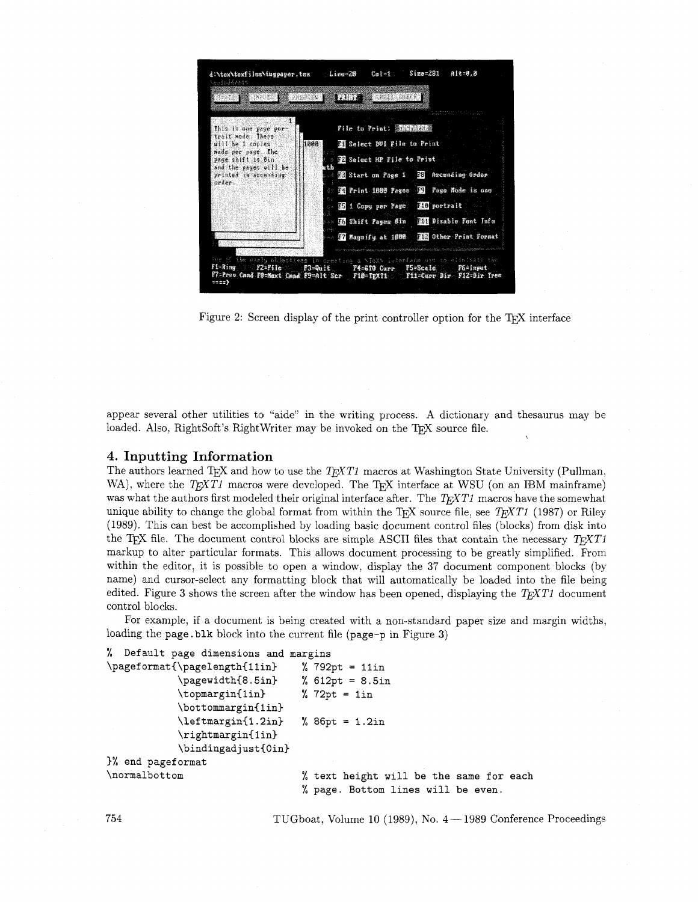

Figure 2: Screen display of the print controller option for the TEX interface

appear several other utilities to "aide" in the writing process. A dictionary and thesaurus may be loaded. Also, RightSoft's RightWriter may be invoked on the TEX source file.

## **4. Inputting Information**

The authors learned T<sub>EX</sub> and how to use the *T<sub>EX</sub>T1* macros at Washington State University (Pullman, WA), where the  $T_FXT1$  macros were developed. The T<sub>F</sub>X interface at WSU (on an IBM mainframe) was what the authors first modeled their original interface after. The *T<sub>E</sub>XT1* macros have the somewhat unique ability to change the global format from within the T<sub>E</sub>X source file, see  $T_{E}XT1$  (1987) or Riley (1989). This can best be accomplished by loading basic document control files (blocks) from disk into the T<sub>E</sub>X file. The document control blocks are simple ASCII files that contain the necessary  $T_FXTI$ markup to alter particular formats. This allows document processing to be greatly simplified. From within the editor, it is possible to open a window, display the 37 document component blocks (by name) and cursor-select any formatting block that will automatically be loaded into the file being edited. Figure 3 shows the screen after the window has been opened, displaying the  $T_{E}XT1$  document control blocks.

For example, if a document is being created with a non-standard paper size and margin widths, loading the **page. blk** block into the current file **(page-p** in Figure 3)

```
% Default page dimensions and margins 
\pageformat(\pagelength(llinl % 792pt = Ilin 
           \pagewidthC8. 5in) % 612pt = 8.5in 
           \t opmarginC lin) % 72pt = lin 
           \bottommargin(lin) 
           \lef tmargin(l.2in) % 86pt = I. 2in 
           \rightmargin(lin) 
           \bindingadjust(Oin) 
)% end pagef ormat 
\normalbottom % text height will be the same for each 
                                % page. Bottom lines will be even.
```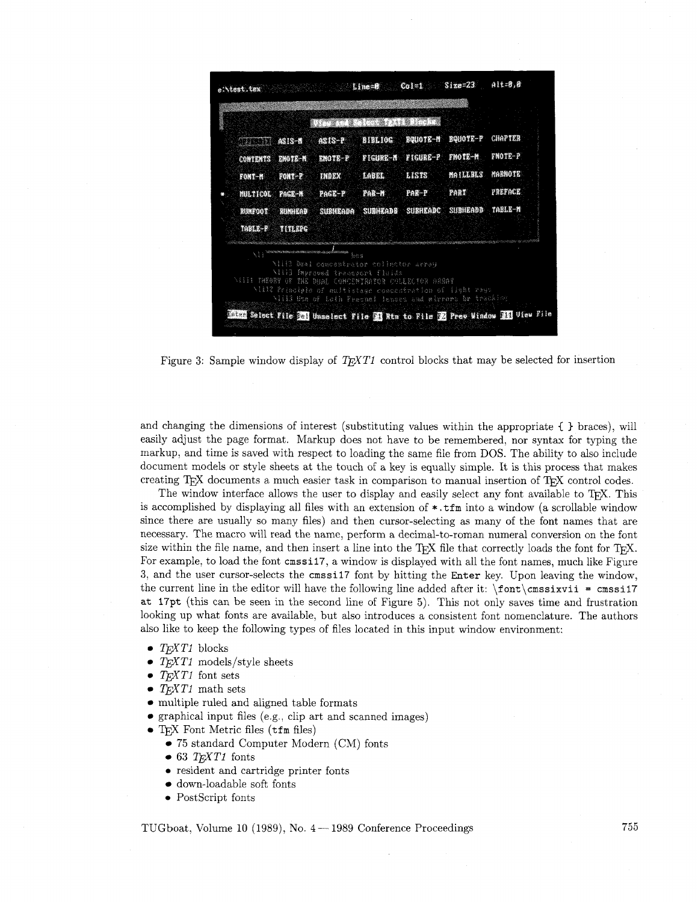|                           |                                               |                                         |                                | Le Lee Michael Tal |                  |                           |
|---------------------------|-----------------------------------------------|-----------------------------------------|--------------------------------|--------------------|------------------|---------------------------|
| <b>THE PERSON ASIS-1</b>  |                                               | AS18-F                                  | <b>BIBLIOG</b>                 | BQUOTE-N BQUOTE-P  |                  | <b>CHAPTER</b>            |
| CONTENTS.                 | <b>ENOTE-N</b>                                | ENOTE-P                                 | PIGURE-A                       | - FIGURE-P         | FNOTE-M          | FNOTE-P                   |
| FONT-M<br><b>RULTICOL</b> | FORTER<br>PAGE 1                              | INDEX<br>PACE-P                         | <b>LABEL</b><br><b>PAR-N</b>   | LISTS:<br>Pon-P    | MAILLBLS<br>PART | Marnote<br><b>PREFACE</b> |
|                           |                                               |                                         |                                |                    |                  |                           |
| TABLE P                   | <b>TITLEPG</b>                                |                                         |                                |                    |                  |                           |
|                           | $\setminus \setminus$ www.communications.com/ |                                         |                                |                    |                  |                           |
|                           |                                               | Nii(3 Dual concentrator collector array | NIII Japroved tracsport flaids |                    |                  |                           |

Figure 3: Sample window display of *TFXT1* control blocks that may be selected for insertion

and changing the dimensions of interest (substituting values within the appropriate { ) braces), will easily adjust the page format. Markup does not have to be remembered, nor syntax for typing the markup, and time is saved with respect to loading the same file from DOS. The ability to also include document models or style sheets at the touch of a key is equally simple. It is this process that makes creating T<sub>F</sub>X documents a much easier task in comparison to manual insertion of T<sub>E</sub>X control codes.

The window interface allows the user to display and easily select any font available to T<sub>F</sub>X. This is accomplished by displaying all files with an extension of \* . tfm into a window (a scrollable window since there are usually so many files) and then cursor-selecting **as** many of the font names that are necessary. The macro will read the name, perform a decimal-to-roman numeral conversion on the font size within the file name, and then insert a line into the T<sub>E</sub>X file that correctly loads the font for T<sub>E</sub>X. For example, to load the font cmssil7, a window is displayed with all the font names, much like Figure 3, and the user cursor-selects the cmssil7 font by hitting the Enter key. Upon leaving the window, the current line in the editor will have the following line added after it:  $\font\const$   $=$  cmssi17 at 17pt (this can be seen in the second line of Figure 5). This not only saves time and frustration looking up what fonts are available, but also introduces a consistent font nomenclature. The authors also like to keep the following types of files located in this input window environment:

- $\bullet$  *T<sub>F</sub>XT1* blocks
- *TEXT1* models/style sheets
- TFXT1 font sets
- $\bullet$  *T<sub>F</sub>XT1* math sets
- multiple ruled and aligned table formats
- $\bullet$  graphical input files (e.g., clip art and scanned images)
- TFX Font Metric files (tfm files)
	- 75 standard Computer Modern (CM) fonts
	- $\bullet$  63 *T<sub>F</sub>XT1* fonts
	- **0** resident and cartridge printer fonts
	- down-loadable soft fonts
	- PostScript fonts

TUGboat, Volume 10 (1989), No.  $4-1989$  Conference Proceedings

755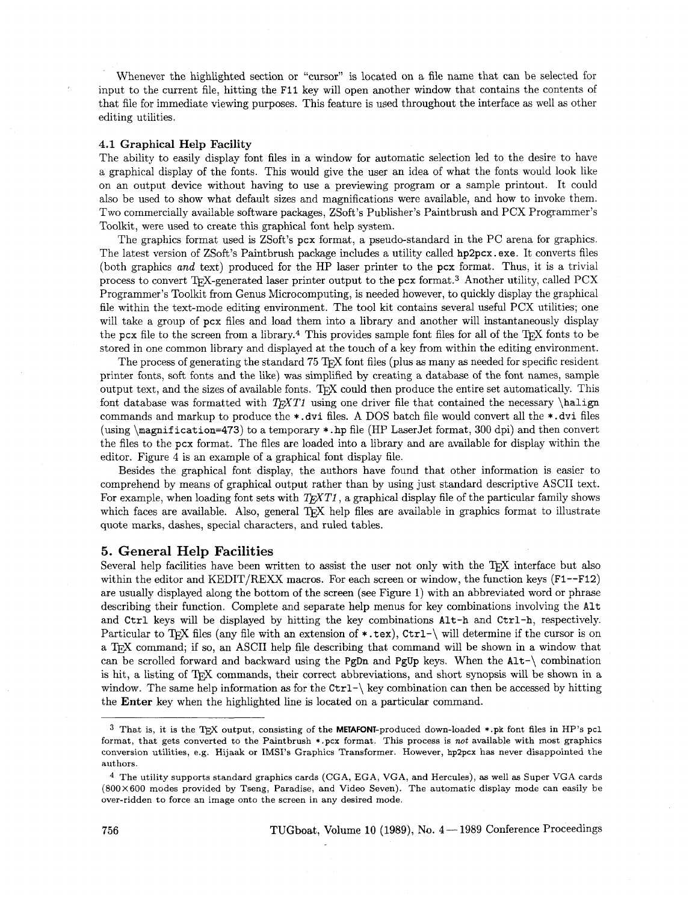Whenever the highlighted section or "cursor" is located on a file name that can be selected for input to the current file, hitting the F11 key will open another window that contains the contents of that file for immediate viewing purposes. This feature is used throughout the interface as well as other editing utilities.

#### 4.1 Graphical Help Facility

The ability to easily display font files in a window for automatic selection led to the desire to have a graphical display of the fonts. This would give the user an idea of what the fonts would look like on an output device without having to use a previewing program or a sample printout. It could also be used to show what default sizes and magnifications were available, and how to invoke them. Two commercially available software packages, ZSoft's Publisher's Paintbrush and PCX Programmer's Toolkit, were used to create this graphical font help system.

The graphics format used is ZSoft's pcx format, a pseudo-standard in the PC arena for graphics. The latest version of ZSoft's Paintbrush package includes a utility called hp2pcx. exe. It converts files (both graphics and text) produced for the HP laser printer to the pcx format. Thus, it is a trivial process to convert T<sub>FX</sub>-generated laser printer output to the pcx format.<sup>3</sup> Another utility, called PCX Programmer's Toolkit from Genus Microcomputing, is needed however, to quickly display the graphical file within the text-mode editing environment. The tool kit contains several useful PCX utilities; one will take a group of pcx files and load them into a library and another will instantaneously display the pcx file to the screen from a library.<sup>4</sup> This provides sample font files for all of the T<sub>F</sub>X fonts to be stored in one common library and displayed at the touch of a key from within the editing environment.

The process of generating the standard 75 T<sub>E</sub>X font files (plus as many as needed for specific resident printer fonts, soft fonts and the like) was simplified by creating a database of the font names, sample output text, and the sizes of available fonts. TEX could then produce the entire set automatically. This font database was formatted with  $T_FXT1$  using one driver file that contained the necessary \halign commands and markup to produce the \* . dvi files. A DOS batch file would convert all the \*. dvi files (using  $\max$  is constant (473) to a temporary  $\ast$ . hp file (HP LaserJet format, 300 dpi) and then convert the files to the pcx format. The files are loaded into a library and are available for display within the editor. Figure 4 is an example of a graphical font display file.

Besides the graphical font display, the authors have found that other information is easier to comprehend by means of graphical output rather than by using just standard descriptive ASCII text. For example, when loading font sets with  $T_FXT1$ , a graphical display file of the particular family shows which faces are available. Also, general T<sub>R</sub>X help files are available in graphics format to illustrate quote marks, dashes, special characters, and ruled tables.

## 5. General Help Facilities

Several help facilities have been written to assist the user not only with the T<sub>F</sub>X interface but also within the editor and KEDIT/REXX macros. For each screen or window, the function keys  $(F1-F12)$ are usually displayed along the bottom of the screen (see Figure 1) with an abbreviated word or phrase describing their function. Complete and separate help menus for key combinations involving the Alt and Ctrl keys will be displayed by hitting the key combinations Alt-h and Ctrl-h, respectively. Particular to TFX files (any file with an extension of \*. tex), Ctrl-\ will determine if the cursor is on a TEX command; if so, an ASCII help file describing that command will be shown in a window that can be scrolled forward and backward using the PgDn and PgUp keys. When the  $Alt-\$  combination is hit, a listing of T<sub>RX</sub> commands, their correct abbreviations, and short synopsis will be shown in a window. The same help information as for the Ctrl-\ key combination can then be accessed by hitting the Enter key when the highlighted line is located on a particular command.

 $3$  That is, it is the TEX output, consisting of the METAFONT-produced down-loaded \*.pk font files in HP's pcl format, that gets converted to the Paintbrush \*.pcx format. This process is not available with most graphics conversion utilities, e.g. Hijaak or IMSI's Graphics Transformer. However, hp2pcx has never disappointed the authors.

The utility supports standard graphics cards (CGA, EGA, VGA, and Hercules), as well as Super VGA cards  $(800 \times 600$  modes provided by Tseng, Paradise, and Video Seven). The automatic display mode can easily be over-ridden to force an image onto the screen in any desired mode.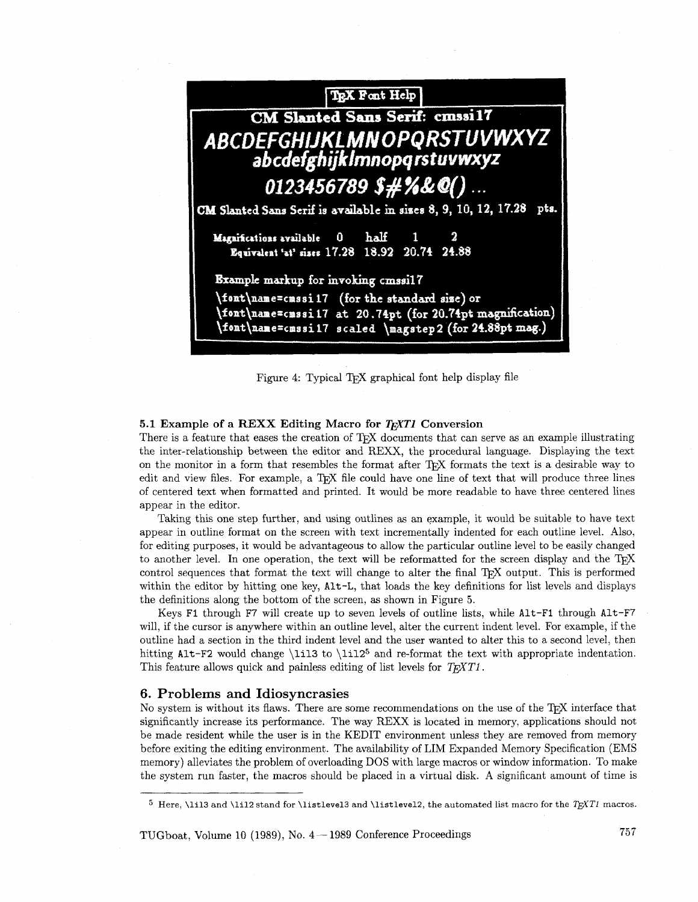

Figure 4: Typical T<sub>F</sub>X graphical font help display file

### 5.1 Example of a REXX Editing Macro for *TEXTI* Conversion

There is a feature that eases the creation of T<sub>F</sub>X documents that can serve as an example illustrating the inter-relationship between the editor and REXX, the procedural language. Displaying the text on the monitor in a form that resembles the format after T<sub>E</sub>X formats the text is a desirable way to edit and view files. For example, a T<sub>F</sub>X file could have one line of text that will produce three lines of centered text when formatted and printed. It would be more readable to have three centered lines appear in the editor.

Taking this one step further, and using outlines as an example, it would be suitable to have text appear in outline format on the screen with text incrementally indented for each outline level. Also, for editing purposes, it would be advantageous to allow the particular outline level to be easily changed to another level. In one operation, the text will be reformatted for the screen display and the TFX control sequences that format the text will change to alter the final T<sub>F</sub>X output. This is performed within the editor by hitting one key, Alt-L, that loads the key definitions for list levels and displays the definitions along the bottom of the screen, as shown in Figure **5.** 

Keys F1 through F7 will create up to seven levels of outline lists, while Alt-F1 through Alt-F7 will, if the cursor is anywhere within an outline level, alter the current indent level. For example, if the outline had a section in the third indent level and the user wanted to alter this to a second level, then hitting Alt-F2 would change \lillation \lillation and re-format the text with appropriate indentation. This feature allows quick and painless editing of list levels for  $T_FXT1$ .

### 6. Problems and Idiosyncrasies

No system is without its flaws. There are some recommendations on the use of the TFX interface that significantly increase its performance. The way REXX is located in memory, applications should not be made resident while the user is in the KEDIT environment unless they are removed from memory before exiting the editing environment. The availability of LIM Expanded Memory Specification (EMS memory) alleviates the problem of overloading DOS with large macros or window information. To make the system run faster, the macros should be placed in a virtual disk. A significant amount of time is

TUGboat, Volume 10 (1989), No. 4- 1989 Conference Proceedings *75* <sup>7</sup>

 $5$  Here, **\li13** and **\li12** stand for **\listlevel3** and **\listlevel2**, the automated list macro for the *TEXT1* macros.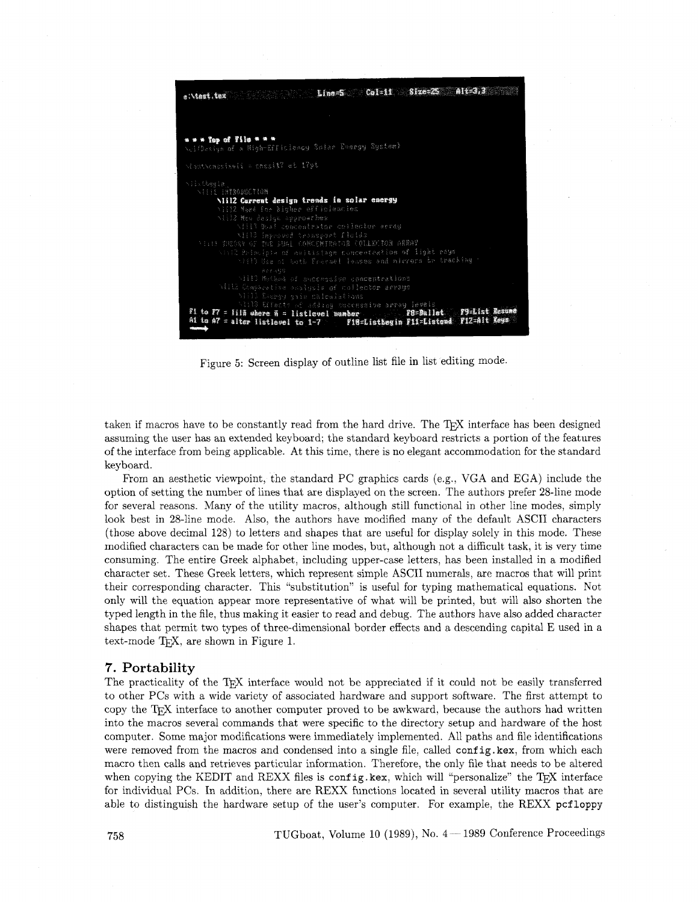

Figure 5: Screen display of outline list file in list editing mode.

taken if macros have to be constantly read from the hard drive. The T<sub>FX</sub> interface has been designed assuming the user has an extended keyboard; the standard keyboard restricts a portion of the features of the interface from being applicable. At this time, there is no elegant accommodation for the standard keyboard.

From an aesthetic viewpoint, the standard PC graphics cards (e.g., VGA and EGA) include the option of setting the number of lines that are displayed on the screen. The authors prefer 28-line mode for several reasons. Many of the utility macros, although still functional in other line modes, simply look best in 28-line mode. Also, the authors have modified many of the default ASCII characters (those above decimal 128) to letters and shapes that are useful for display solely in this mode. These modified characters can be made for other line modes, but, although not a difficult task, it is very time consuming. The entire Greek alphabet, including upper-case letters, has been installed in a modified character set. These Greek letters, which represent simple ASCII numerals, are macros that will print their corresponding character. This "substitution" is useful for typing mathematical equations. Not only will the equation appear more representative of what will be printed, but will also shorten the typed length in the file, thus making it easier to read and debug. The authors have also added character shapes that permit two types of three-dimensional border effects and a descending capital E used in a text-mode T<sub>E</sub>X, are shown in Figure 1.

## 7. **Portability**

The practicality of the T<sub>F</sub>X interface would not be appreciated if it could not be easily transferred to other PCs with a wide variety of associated hardware and support software. The first attempt to copy the T<sub>E</sub>X interface to another computer proved to be awkward, because the authors had written into the macros several commands that were specific to the directory setup and hardware of the host computer. Some major modifications were immediately implemented. All paths and file identifications were removed from the macros and condensed into a single file, called config. kex, from which each macro then calls and retrieves particular information. Therefore, the only file that needs to be altered when copying the KEDIT and REXX files is config. kex. which will "personalize" the T<sub>F</sub>X interface for individual PCs. In addition, there are REXX functions located in several utility macros that are able to distinguish the hardware setup of the user's computer. For example, the REXX pcfloppy